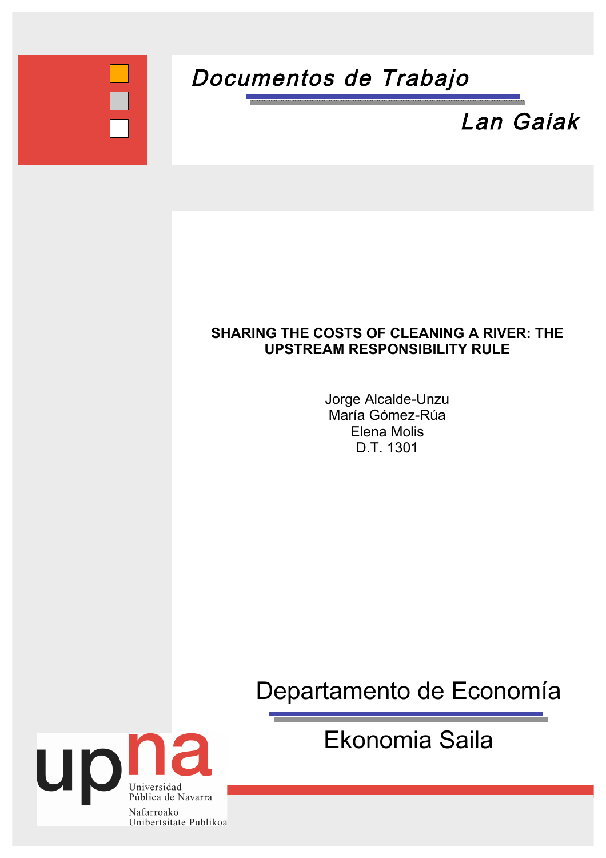

# Documentos de Trabajo



### **SHARING THE COSTS OF CLEANING A RIVER: THE UPSTREAM RESPONSIBILITY RULE**

Jorge Alcalde-Unzu María Gómez-Rúa Elena Molis D.T. 1301

Departamento
de
Economía

Ekonomia
Saila

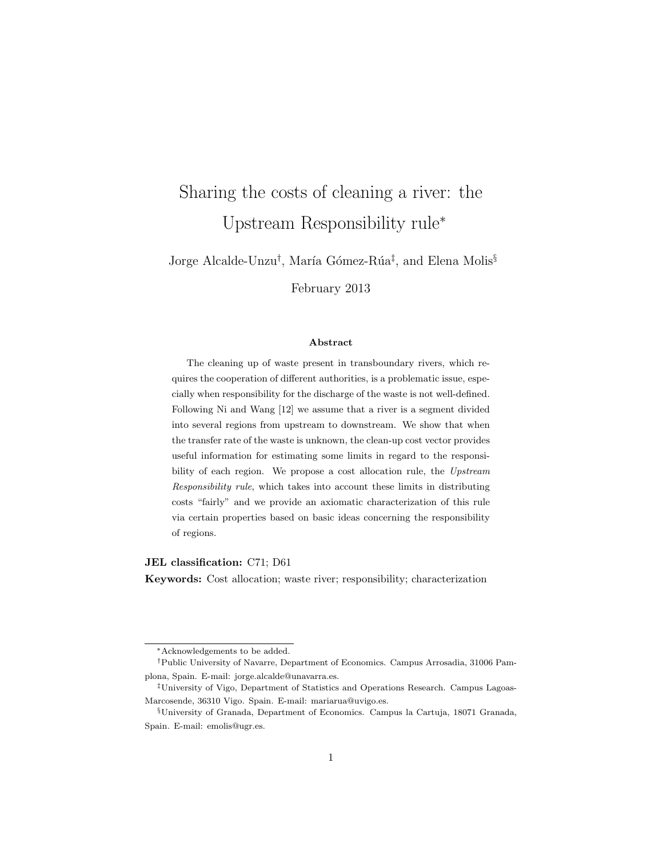## Sharing the costs of cleaning a river: the Upstream Responsibility rule<sup>∗</sup>

Jorge Alcalde-Unzu<sup>†</sup>, María Gómez-Rúa<sup>‡</sup>, and Elena Molis<sup>§</sup>

February 2013

#### Abstract

The cleaning up of waste present in transboundary rivers, which requires the cooperation of different authorities, is a problematic issue, especially when responsibility for the discharge of the waste is not well-defined. Following Ni and Wang [12] we assume that a river is a segment divided into several regions from upstream to downstream. We show that when the transfer rate of the waste is unknown, the clean-up cost vector provides useful information for estimating some limits in regard to the responsibility of each region. We propose a cost allocation rule, the Upstream Responsibility rule, which takes into account these limits in distributing costs "fairly" and we provide an axiomatic characterization of this rule via certain properties based on basic ideas concerning the responsibility of regions.

JEL classification: C71; D61

Keywords: Cost allocation; waste river; responsibility; characterization

<sup>∗</sup>Acknowledgements to be added.

<sup>†</sup>Public University of Navarre, Department of Economics. Campus Arrosadia, 31006 Pamplona, Spain. E-mail: jorge.alcalde@unavarra.es.

<sup>‡</sup>University of Vigo, Department of Statistics and Operations Research. Campus Lagoas-Marcosende, 36310 Vigo. Spain. E-mail: mariarua@uvigo.es.

<sup>§</sup>University of Granada, Department of Economics. Campus la Cartuja, 18071 Granada, Spain. E-mail: emolis@ugr.es.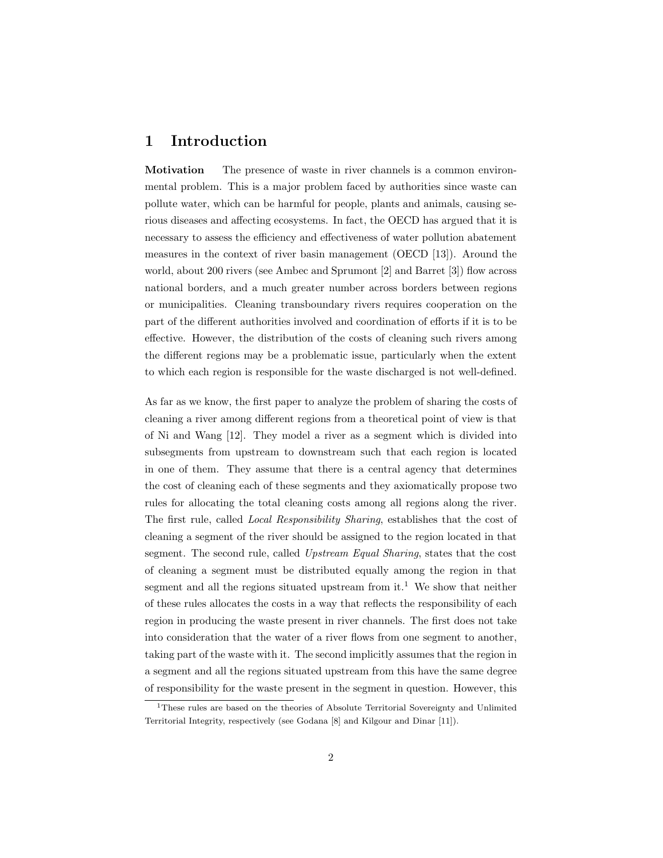### 1 Introduction

Motivation The presence of waste in river channels is a common environmental problem. This is a major problem faced by authorities since waste can pollute water, which can be harmful for people, plants and animals, causing serious diseases and affecting ecosystems. In fact, the OECD has argued that it is necessary to assess the efficiency and effectiveness of water pollution abatement measures in the context of river basin management (OECD [13]). Around the world, about 200 rivers (see Ambec and Sprumont [2] and Barret [3]) flow across national borders, and a much greater number across borders between regions or municipalities. Cleaning transboundary rivers requires cooperation on the part of the different authorities involved and coordination of efforts if it is to be effective. However, the distribution of the costs of cleaning such rivers among the different regions may be a problematic issue, particularly when the extent to which each region is responsible for the waste discharged is not well-defined.

As far as we know, the first paper to analyze the problem of sharing the costs of cleaning a river among different regions from a theoretical point of view is that of Ni and Wang [12]. They model a river as a segment which is divided into subsegments from upstream to downstream such that each region is located in one of them. They assume that there is a central agency that determines the cost of cleaning each of these segments and they axiomatically propose two rules for allocating the total cleaning costs among all regions along the river. The first rule, called Local Responsibility Sharing, establishes that the cost of cleaning a segment of the river should be assigned to the region located in that segment. The second rule, called Upstream Equal Sharing, states that the cost of cleaning a segment must be distributed equally among the region in that segment and all the regions situated upstream from  $it<sup>1</sup>$ . We show that neither of these rules allocates the costs in a way that reflects the responsibility of each region in producing the waste present in river channels. The first does not take into consideration that the water of a river flows from one segment to another, taking part of the waste with it. The second implicitly assumes that the region in a segment and all the regions situated upstream from this have the same degree of responsibility for the waste present in the segment in question. However, this

<sup>1</sup>These rules are based on the theories of Absolute Territorial Sovereignty and Unlimited Territorial Integrity, respectively (see Godana [8] and Kilgour and Dinar [11]).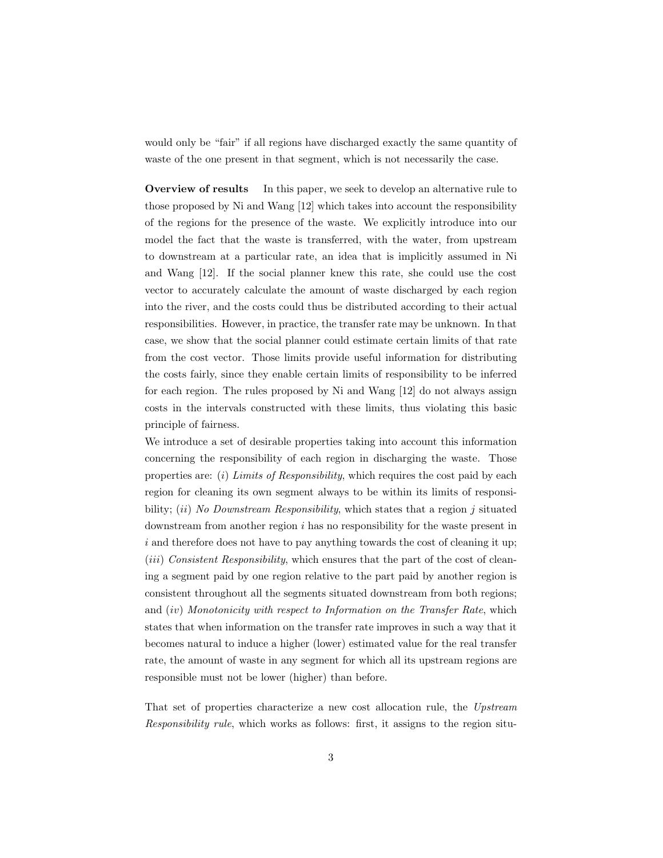would only be "fair" if all regions have discharged exactly the same quantity of waste of the one present in that segment, which is not necessarily the case.

Overview of results In this paper, we seek to develop an alternative rule to those proposed by Ni and Wang [12] which takes into account the responsibility of the regions for the presence of the waste. We explicitly introduce into our model the fact that the waste is transferred, with the water, from upstream to downstream at a particular rate, an idea that is implicitly assumed in Ni and Wang [12]. If the social planner knew this rate, she could use the cost vector to accurately calculate the amount of waste discharged by each region into the river, and the costs could thus be distributed according to their actual responsibilities. However, in practice, the transfer rate may be unknown. In that case, we show that the social planner could estimate certain limits of that rate from the cost vector. Those limits provide useful information for distributing the costs fairly, since they enable certain limits of responsibility to be inferred for each region. The rules proposed by Ni and Wang [12] do not always assign costs in the intervals constructed with these limits, thus violating this basic principle of fairness.

We introduce a set of desirable properties taking into account this information concerning the responsibility of each region in discharging the waste. Those properties are: (*i*) Limits of Responsibility, which requires the cost paid by each region for cleaning its own segment always to be within its limits of responsibility; *(ii)* No Downstream Responsibility, which states that a region  $j$  situated downstream from another region  $i$  has no responsibility for the waste present in  $i$  and therefore does not have to pay anything towards the cost of cleaning it up;  $(iii)$  Consistent Responsibility, which ensures that the part of the cost of cleaning a segment paid by one region relative to the part paid by another region is consistent throughout all the segments situated downstream from both regions; and  $(iv)$  Monotonicity with respect to Information on the Transfer Rate, which states that when information on the transfer rate improves in such a way that it becomes natural to induce a higher (lower) estimated value for the real transfer rate, the amount of waste in any segment for which all its upstream regions are responsible must not be lower (higher) than before.

That set of properties characterize a new cost allocation rule, the Upstream Responsibility rule, which works as follows: first, it assigns to the region situ-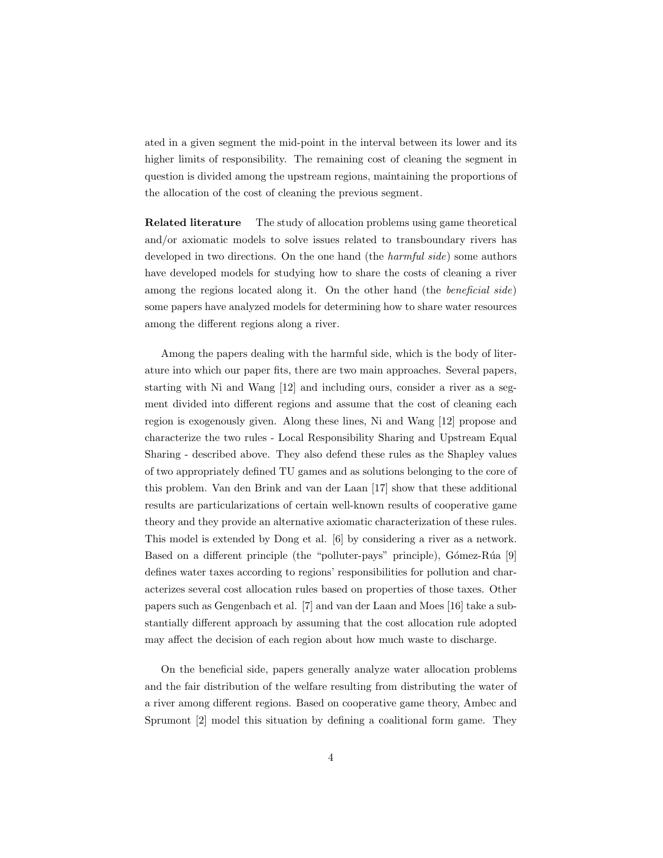ated in a given segment the mid-point in the interval between its lower and its higher limits of responsibility. The remaining cost of cleaning the segment in question is divided among the upstream regions, maintaining the proportions of the allocation of the cost of cleaning the previous segment.

Related literature The study of allocation problems using game theoretical and/or axiomatic models to solve issues related to transboundary rivers has developed in two directions. On the one hand (the *harmful side*) some authors have developed models for studying how to share the costs of cleaning a river among the regions located along it. On the other hand (the *beneficial side*) some papers have analyzed models for determining how to share water resources among the different regions along a river.

Among the papers dealing with the harmful side, which is the body of literature into which our paper fits, there are two main approaches. Several papers, starting with Ni and Wang [12] and including ours, consider a river as a segment divided into different regions and assume that the cost of cleaning each region is exogenously given. Along these lines, Ni and Wang [12] propose and characterize the two rules - Local Responsibility Sharing and Upstream Equal Sharing - described above. They also defend these rules as the Shapley values of two appropriately defined TU games and as solutions belonging to the core of this problem. Van den Brink and van der Laan [17] show that these additional results are particularizations of certain well-known results of cooperative game theory and they provide an alternative axiomatic characterization of these rules. This model is extended by Dong et al. [6] by considering a river as a network. Based on a different principle (the "polluter-pays" principle), Gómez-Rúa [9] defines water taxes according to regions' responsibilities for pollution and characterizes several cost allocation rules based on properties of those taxes. Other papers such as Gengenbach et al. [7] and van der Laan and Moes [16] take a substantially different approach by assuming that the cost allocation rule adopted may affect the decision of each region about how much waste to discharge.

On the beneficial side, papers generally analyze water allocation problems and the fair distribution of the welfare resulting from distributing the water of a river among different regions. Based on cooperative game theory, Ambec and Sprumont [2] model this situation by defining a coalitional form game. They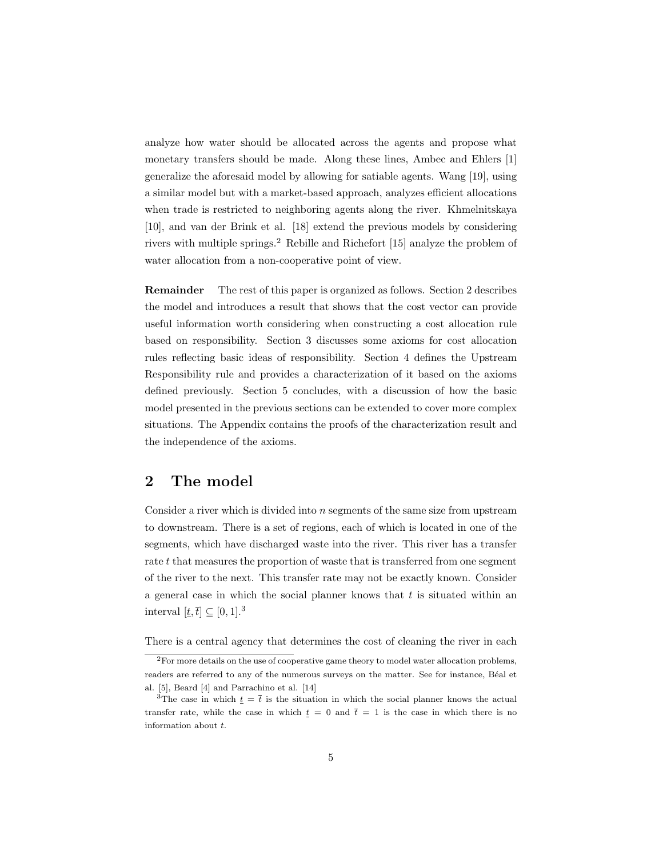analyze how water should be allocated across the agents and propose what monetary transfers should be made. Along these lines, Ambec and Ehlers [1] generalize the aforesaid model by allowing for satiable agents. Wang [19], using a similar model but with a market-based approach, analyzes efficient allocations when trade is restricted to neighboring agents along the river. Khmelnitskaya [10], and van der Brink et al. [18] extend the previous models by considering rivers with multiple springs.<sup>2</sup> Rebille and Richefort [15] analyze the problem of water allocation from a non-cooperative point of view.

Remainder The rest of this paper is organized as follows. Section 2 describes the model and introduces a result that shows that the cost vector can provide useful information worth considering when constructing a cost allocation rule based on responsibility. Section 3 discusses some axioms for cost allocation rules reflecting basic ideas of responsibility. Section 4 defines the Upstream Responsibility rule and provides a characterization of it based on the axioms defined previously. Section 5 concludes, with a discussion of how the basic model presented in the previous sections can be extended to cover more complex situations. The Appendix contains the proofs of the characterization result and the independence of the axioms.

### 2 The model

Consider a river which is divided into  $n$  segments of the same size from upstream to downstream. There is a set of regions, each of which is located in one of the segments, which have discharged waste into the river. This river has a transfer rate t that measures the proportion of waste that is transferred from one segment of the river to the next. This transfer rate may not be exactly known. Consider a general case in which the social planner knows that  $t$  is situated within an interval  $[t, \bar{t}] \subseteq [0, 1].^3$ 

There is a central agency that determines the cost of cleaning the river in each

<sup>2</sup>For more details on the use of cooperative game theory to model water allocation problems, readers are referred to any of the numerous surveys on the matter. See for instance, Béal et al. [5], Beard [4] and Parrachino et al. [14]

<sup>&</sup>lt;sup>3</sup>The case in which  $\underline{t} = \overline{t}$  is the situation in which the social planner knows the actual transfer rate, while the case in which  $t = 0$  and  $\bar{t} = 1$  is the case in which there is no information about  $t$ .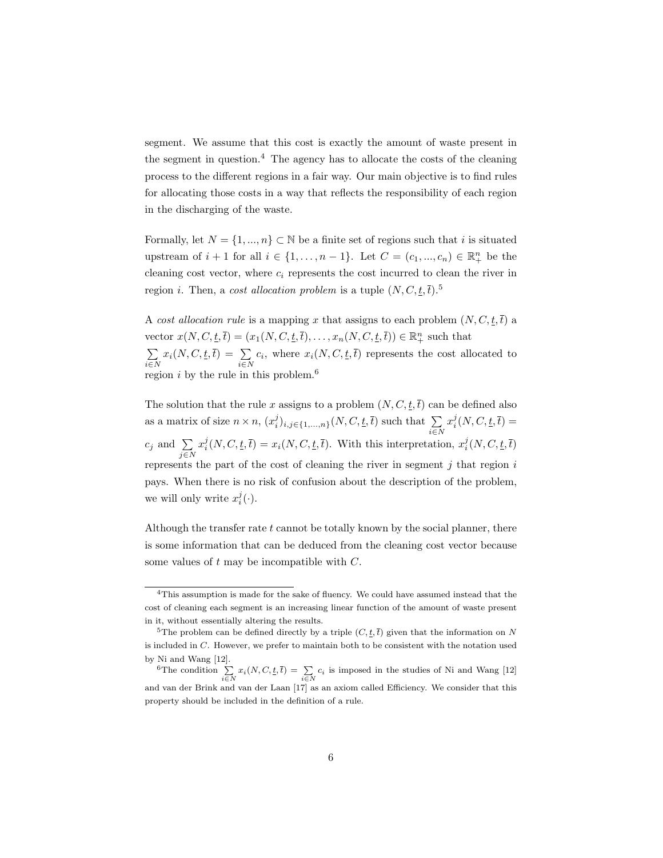segment. We assume that this cost is exactly the amount of waste present in the segment in question.<sup>4</sup> The agency has to allocate the costs of the cleaning process to the different regions in a fair way. Our main objective is to find rules for allocating those costs in a way that reflects the responsibility of each region in the discharging of the waste.

Formally, let  $N = \{1, ..., n\} \subset \mathbb{N}$  be a finite set of regions such that i is situated upstream of  $i + 1$  for all  $i \in \{1, ..., n-1\}$ . Let  $C = (c_1, ..., c_n) \in \mathbb{R}^n_+$  be the cleaning cost vector, where  $c_i$  represents the cost incurred to clean the river in region *i*. Then, a *cost allocation problem* is a tuple  $(N, C, \underline{t}, \overline{t})$ .<sup>5</sup>

A cost allocation rule is a mapping x that assigns to each problem  $(N, C, t, \bar{t})$  a vector  $x(N, C, \underline{t}, \overline{t}) = (x_1(N, C, \underline{t}, \overline{t}), \dots, x_n(N, C, \underline{t}, \overline{t})) \in \mathbb{R}_+^n$  such that ∑  $\sum_{i\in N} x_i(N, C, \underline{t}, \overline{t}) = \sum_{i\in N} c_i$ , where  $x_i(N, C, \underline{t}, \overline{t})$  represents the cost allocated to region  $i$  by the rule in this problem.<sup>6</sup>

The solution that the rule x assigns to a problem  $(N, C, \underline{t}, \overline{t})$  can be defined also as a matrix of size  $n \times n$ ,  $(x_i^j)_{i,j \in \{1,\ldots,n\}}(N, C, \underline{t}, \overline{t})$  such that  $\sum_{i \in N}$  $x_i^j(N, C, \underline{t}, \overline{t}) =$  $c_j$  and  $\sum_{j \in N}$  $x_i^j(N, C, \underline{t}, \overline{t}) = x_i(N, C, \underline{t}, \overline{t}).$  With this interpretation,  $x_i^j(N, C, \underline{t}, \overline{t})$ represents the part of the cost of cleaning the river in segment  $j$  that region  $i$ pays. When there is no risk of confusion about the description of the problem, we will only write  $x_i^j(\cdot)$ .

Although the transfer rate  $t$  cannot be totally known by the social planner, there is some information that can be deduced from the cleaning cost vector because some values of  $t$  may be incompatible with  $C$ .

<sup>4</sup>This assumption is made for the sake of fluency. We could have assumed instead that the cost of cleaning each segment is an increasing linear function of the amount of waste present in it, without essentially altering the results.

<sup>&</sup>lt;sup>5</sup>The problem can be defined directly by a triple  $(C, \underline{t}, \overline{t})$  given that the information on N is included in  $C$ . However, we prefer to maintain both to be consistent with the notation used by Ni and Wang [12].

<sup>&</sup>lt;sup>6</sup>The condition  $\sum_{i \in N} x_i(N, C, \underline{t}, \overline{t}) = \sum_{i \in N} c_i$  is imposed in the studies of Ni and Wang [12] and van der Brink and van der Laan [17] as an axiom called Efficiency. We consider that this property should be included in the definition of a rule.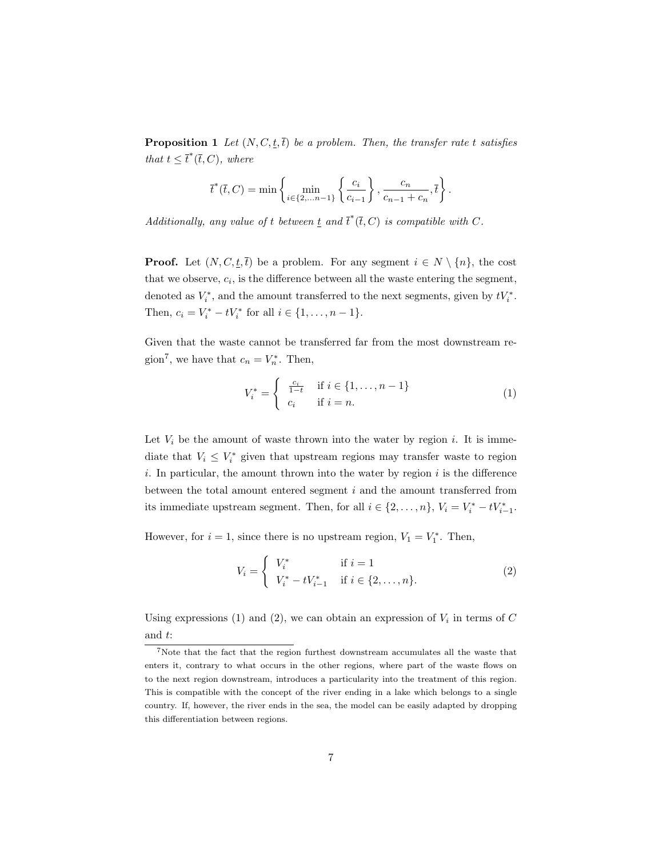**Proposition 1** Let  $(N, C, \underline{t}, \overline{t})$  be a problem. Then, the transfer rate t satisfies that  $t \leq \overline{t}^*(\overline{t}, C)$ , where

$$
\bar{t}^*(\bar{t}, C) = \min \left\{ \min_{i \in \{2, \ldots n-1\}} \left\{ \frac{c_i}{c_{i-1}} \right\}, \frac{c_n}{c_{n-1} + c_n}, \bar{t} \right\}.
$$

Additionally, any value of t between  $\underline{t}$  and  $\overline{t}^*(\overline{t}, C)$  is compatible with C.

**Proof.** Let  $(N, C, \underline{t}, \overline{t})$  be a problem. For any segment  $i \in N \setminus \{n\}$ , the cost that we observe,  $c_i$ , is the difference between all the waste entering the segment, denoted as  $V_i^*$ , and the amount transferred to the next segments, given by  $tV_i^*$ . Then,  $c_i = V_i^* - tV_i^*$  for all  $i \in \{1, ..., n-1\}$ .

Given that the waste cannot be transferred far from the most downstream region<sup>7</sup>, we have that  $c_n = V_n^*$ . Then,

$$
V_i^* = \begin{cases} \frac{c_i}{1-t} & \text{if } i \in \{1, ..., n-1\} \\ c_i & \text{if } i = n. \end{cases}
$$
 (1)

Let  $V_i$  be the amount of waste thrown into the water by region i. It is immediate that  $V_i \leq V_i^*$  given that upstream regions may transfer waste to region *i*. In particular, the amount thrown into the water by region  $i$  is the difference between the total amount entered segment  $i$  and the amount transferred from its immediate upstream segment. Then, for all  $i \in \{2, ..., n\}$ ,  $V_i = V_i^* - tV_{i-1}^*$ .

However, for  $i = 1$ , since there is no upstream region,  $V_1 = V_1^*$ . Then,

$$
V_i = \begin{cases} V_i^* & \text{if } i = 1\\ V_i^* - tV_{i-1}^* & \text{if } i \in \{2, \dots, n\}. \end{cases}
$$
 (2)

Using expressions (1) and (2), we can obtain an expression of  $V_i$  in terms of  $C$ and  $t$ :

<sup>7</sup>Note that the fact that the region furthest downstream accumulates all the waste that enters it, contrary to what occurs in the other regions, where part of the waste flows on to the next region downstream, introduces a particularity into the treatment of this region. This is compatible with the concept of the river ending in a lake which belongs to a single country. If, however, the river ends in the sea, the model can be easily adapted by dropping this differentiation between regions.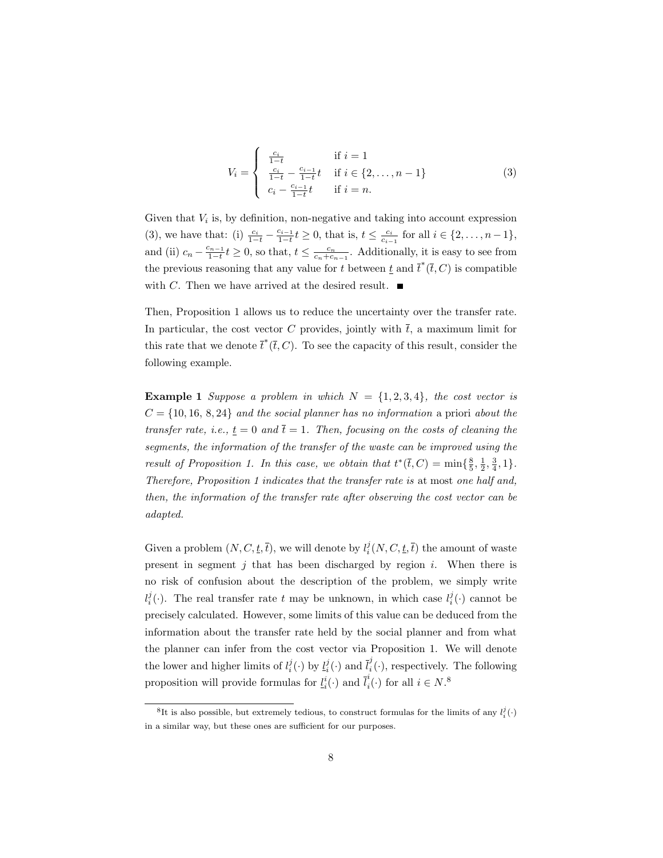$$
V_i = \begin{cases} \frac{c_i}{1-t} & \text{if } i = 1\\ \frac{c_i}{1-t} - \frac{c_{i-1}}{1-t}t & \text{if } i \in \{2,\dots, n-1\} \\ c_i - \frac{c_{i-1}}{1-t}t & \text{if } i = n. \end{cases}
$$
 (3)

Given that  $V_i$  is, by definition, non-negative and taking into account expression (3), we have that: (i)  $\frac{c_i}{1-t} - \frac{c_{i-1}}{1-t} t \geq 0$ , that is,  $t \leq \frac{c_i}{c_{i-1}}$  for all  $i \in \{2, \ldots, n-1\}$ , and (ii)  $c_n - \frac{c_{n-1}}{1-t} t \geq 0$ , so that,  $t \leq \frac{c_n}{c_n+c_{n-1}}$ . Additionally, it is easy to see from the previous reasoning that any value for t between  $\underline{t}$  and  $\overline{t}^*(\overline{t},C)$  is compatible with C. Then we have arrived at the desired result.  $\blacksquare$ 

Then, Proposition 1 allows us to reduce the uncertainty over the transfer rate. In particular, the cost vector C provides, jointly with  $\bar{t}$ , a maximum limit for this rate that we denote  $\bar{t}^*(\bar{t}, C)$ . To see the capacity of this result, consider the following example.

**Example 1** Suppose a problem in which  $N = \{1, 2, 3, 4\}$ , the cost vector is  $C = \{10, 16, 8, 24\}$  and the social planner has no information a priori about the transfer rate, i.e.,  $t = 0$  and  $\bar{t} = 1$ . Then, focusing on the costs of cleaning the segments, the information of the transfer of the waste can be improved using the result of Proposition 1. In this case, we obtain that  $t^*(\overline{t}, C) = \min\{\frac{8}{5}, \frac{1}{2}, \frac{3}{4}, 1\}.$ Therefore, Proposition 1 indicates that the transfer rate is at most one half and, then, the information of the transfer rate after observing the cost vector can be adapted.

Given a problem  $(N, C, \underline{t}, \overline{t})$ , we will denote by  $l_i^j(N, C, \underline{t}, \overline{t})$  the amount of waste present in segment  $j$  that has been discharged by region  $i$ . When there is no risk of confusion about the description of the problem, we simply write  $l_i^j(\cdot)$ . The real transfer rate t may be unknown, in which case  $l_i^j(\cdot)$  cannot be precisely calculated. However, some limits of this value can be deduced from the information about the transfer rate held by the social planner and from what the planner can infer from the cost vector via Proposition 1. We will denote the lower and higher limits of  $l_i^j(\cdot)$  by  $\underline{l}_i^j(\cdot)$  and  $\overline{l}_i^j$  $\sigma_i^{\prime}(\cdot)$ , respectively. The following proposition will provide formulas for  $\underline{l}^i_i(\cdot)$  and  $\overline{l}^i_i$  $i_i^i(\cdot)$  for all  $i \in N$ .<sup>8</sup>

 ${}^8$ It is also possible, but extremely tedious, to construct formulas for the limits of any  $l_i^j(\cdot)$ in a similar way, but these ones are sufficient for our purposes.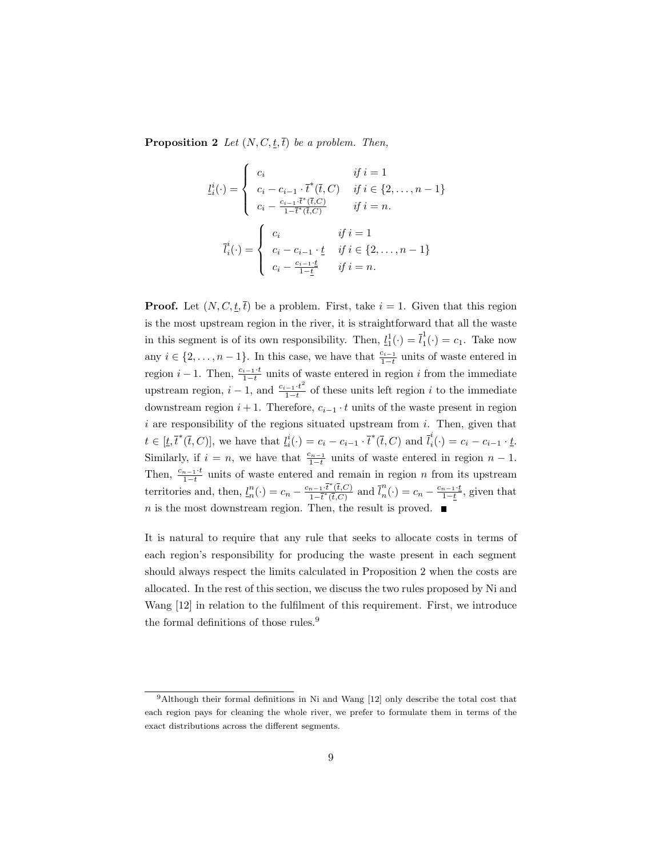**Proposition 2** Let  $(N, C, \underline{t}, \overline{t})$  be a problem. Then,

$$
l_i^i(\cdot) = \begin{cases} c_i & \text{if } i = 1\\ c_i - c_{i-1} \cdot \bar{t}^*(\bar{t}, C) & \text{if } i \in \{2, \dots, n-1\} \\ c_i - \frac{c_{i-1} \cdot \bar{t}^*(\bar{t}, C)}{1 - \bar{t}^*(\bar{t}, C)} & \text{if } i = n. \end{cases}
$$

$$
\bar{l}_i^i(\cdot) = \begin{cases} c_i & \text{if } i = 1 \\ c_i - c_{i-1} \cdot \underline{t} & \text{if } i \in \{2, \dots, n-1\} \\ c_i - \frac{c_{i-1} \cdot \underline{t}}{1 - \underline{t}} & \text{if } i = n. \end{cases}
$$

**Proof.** Let  $(N, C, \underline{t}, \overline{t})$  be a problem. First, take  $i = 1$ . Given that this region is the most upstream region in the river, it is straightforward that all the waste in this segment is of its own responsibility. Then,  $\underline{l}_1^1(\cdot) = \overline{l}_1^1$  $i_1^{\dagger}(\cdot) = c_1$ . Take now any  $i \in \{2, \ldots, n-1\}$ . In this case, we have that  $\frac{c_{i-1}}{1-t}$  units of waste entered in region  $i-1$ . Then,  $\frac{c_{i-1}\cdot t}{1-t}$  units of waste entered in region i from the immediate upstream region,  $i-1$ , and  $\frac{c_{i-1} \cdot t^2}{1-t}$  $\frac{-1 \cdot t}{1-t}$  of these units left region *i* to the immediate downstream region  $i + 1$ . Therefore,  $c_{i-1} \cdot t$  units of the waste present in region  $i$  are responsibility of the regions situated upstream from  $i$ . Then, given that  $t \in [t, \bar{t}^*(\bar{t}, C)],$  we have that  $l_i^i(\cdot) = c_i - c_{i-1} \cdot \bar{t}^*(\bar{t}, C)$  and  $\bar{l}_i^i$  $\sum_{i}^{i}(\cdot) = c_i - c_{i-1} \cdot \underline{t}.$ Similarly, if  $i = n$ , we have that  $\frac{c_{n-1}}{1-t}$  units of waste entered in region  $n-1$ . Then,  $\frac{c_{n-1} \cdot t}{1-t}$  units of waste entered and remain in region *n* from its upstream territories and, then,  $l_n^n(\cdot) = c_n - \frac{c_{n-1} \cdot \overline{t}^*(\overline{t},C)}{1 - \overline{t}^*(\overline{t},C)}$  $\frac{n-1}{n} \cdot \overline{t}^*(\overline{t},C)}{\overline{t}^*(\overline{t},C)}$  and  $\overline{l}_n^n$  $m_n(\cdot) = c_n - \frac{c_{n-1} \cdot t}{1-t}$ , given that  $n$  is the most downstream region. Then, the result is proved.  $\blacksquare$ 

It is natural to require that any rule that seeks to allocate costs in terms of each region's responsibility for producing the waste present in each segment should always respect the limits calculated in Proposition 2 when the costs are allocated. In the rest of this section, we discuss the two rules proposed by Ni and Wang [12] in relation to the fulfilment of this requirement. First, we introduce the formal definitions of those rules.<sup>9</sup>

<sup>9</sup>Although their formal definitions in Ni and Wang [12] only describe the total cost that each region pays for cleaning the whole river, we prefer to formulate them in terms of the exact distributions across the different segments.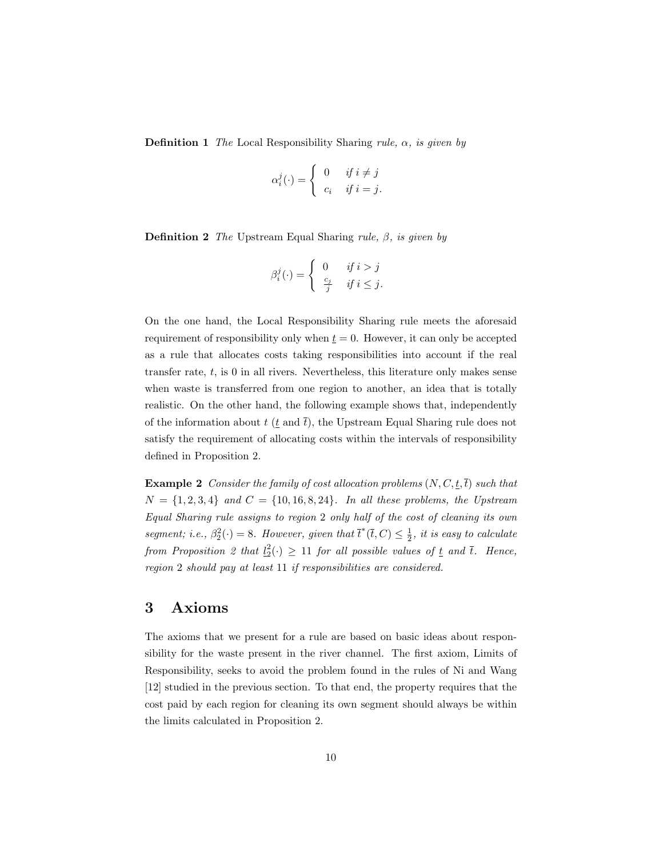**Definition 1** The Local Responsibility Sharing rule,  $\alpha$ , is given by

$$
\alpha_i^j(\cdot) = \begin{cases} 0 & \text{if } i \neq j \\ c_i & \text{if } i = j. \end{cases}
$$

**Definition 2** The Upstream Equal Sharing rule,  $\beta$ , is given by

$$
\beta_i^j(\cdot) = \begin{cases} 0 & \text{if } i > j \\ \frac{c_j}{j} & \text{if } i \le j. \end{cases}
$$

On the one hand, the Local Responsibility Sharing rule meets the aforesaid requirement of responsibility only when  $t = 0$ . However, it can only be accepted as a rule that allocates costs taking responsibilities into account if the real transfer rate,  $t$ , is 0 in all rivers. Nevertheless, this literature only makes sense when waste is transferred from one region to another, an idea that is totally realistic. On the other hand, the following example shows that, independently of the information about  $t$  ( $\underline{t}$  and  $\overline{t}$ ), the Upstream Equal Sharing rule does not satisfy the requirement of allocating costs within the intervals of responsibility defined in Proposition 2.

**Example 2** Consider the family of cost allocation problems  $(N, C, t, \overline{t})$  such that  $N = \{1, 2, 3, 4\}$  and  $C = \{10, 16, 8, 24\}$ . In all these problems, the Upstream Equal Sharing rule assigns to region 2 only half of the cost of cleaning its own segment; i.e.,  $\beta_2^2(\cdot) = 8$ . However, given that  $\bar{t}^*(\bar{t}, C) \leq \frac{1}{2}$ , it is easy to calculate from Proposition 2 that  $l_2^2(\cdot) \geq 11$  for all possible values of  $\underline{t}$  and  $\overline{t}$ . Hence, region 2 should pay at least 11 if responsibilities are considered.

### 3 Axioms

The axioms that we present for a rule are based on basic ideas about responsibility for the waste present in the river channel. The first axiom, Limits of Responsibility, seeks to avoid the problem found in the rules of Ni and Wang [12] studied in the previous section. To that end, the property requires that the cost paid by each region for cleaning its own segment should always be within the limits calculated in Proposition 2.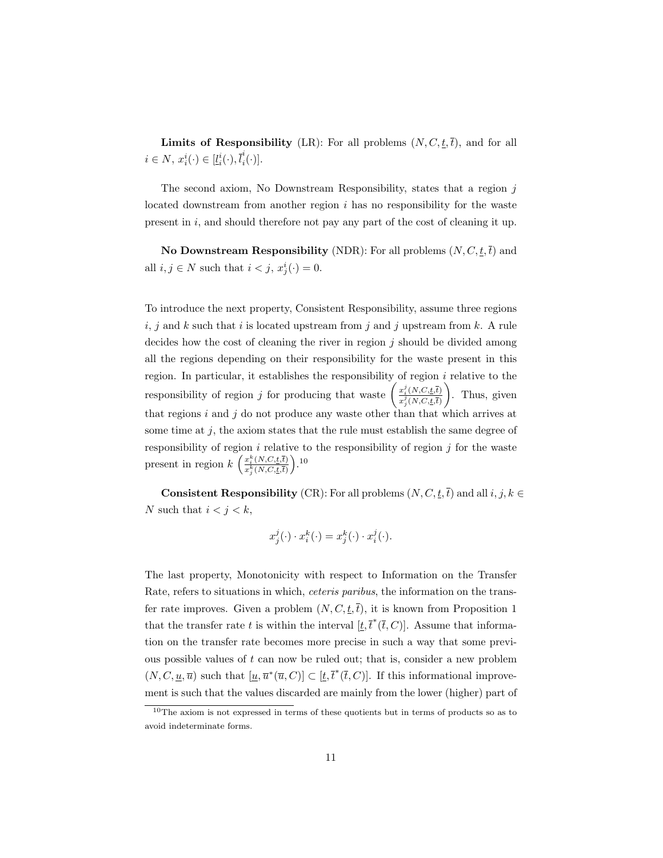**Limits of Responsibility** (LR): For all problems  $(N, C, \underline{t}, \overline{t})$ , and for all  $i \in N$ ,  $x_i^i(\cdot) \in [\underline{l}_i^i(\cdot), \overline{l}_i^i]$  $_{i}^{\iota}(\cdot)].$ 

The second axiom, No Downstream Responsibility, states that a region  $\dot{\eta}$ located downstream from another region  $i$  has no responsibility for the waste present in  $i$ , and should therefore not pay any part of the cost of cleaning it up.

No Downstream Responsibility (NDR): For all problems  $(N, C, \underline{t}, \overline{t})$  and all  $i, j \in N$  such that  $i < j$ ,  $x_j^i(\cdot) = 0$ .

To introduce the next property, Consistent Responsibility, assume three regions  $i, j$  and k such that i is located upstream from j and j upstream from  $k$ . A rule decides how the cost of cleaning the river in region  $j$  should be divided among all the regions depending on their responsibility for the waste present in this region. In particular, it establishes the responsibility of region  $i$  relative to the responsibility of region *j* for producing that waste  $\begin{pmatrix} x_i^j(N,C,t,\bar{t}) \\ \frac{j}{r(N,C,t,\bar{t})} \end{pmatrix}$  $\overline{x_j^j(N, C, \underline{t}, \overline{t})}$ ) . Thus, given that regions  $i$  and  $j$  do not produce any waste other than that which arrives at some time at  $j$ , the axiom states that the rule must establish the same degree of responsibility of region  $i$  relative to the responsibility of region  $j$  for the waste present in region  $k\left(\frac{x_i^k(N,C,t,\bar{t})}{x_k^k(N,C,t,\bar{t})}\right)$  $\frac{x_i^k(N, C, \underline{t}, \overline{t})}{x_j^k(N, C, \underline{t}, \overline{t})}$ .<sup>10</sup>

**Consistent Responsibility** (CR): For all problems  $(N, C, t, \overline{t})$  and all  $i, j, k \in$ N such that  $i < j < k$ ,

$$
x_j^j(\cdot) \cdot x_i^k(\cdot) = x_j^k(\cdot) \cdot x_i^j(\cdot).
$$

The last property, Monotonicity with respect to Information on the Transfer Rate, refers to situations in which, ceteris paribus, the information on the transfer rate improves. Given a problem  $(N, C, t, \overline{t})$ , it is known from Proposition 1 that the transfer rate t is within the interval  $[\underline{t}, \overline{t}^*(\overline{t}, C)]$ . Assume that information on the transfer rate becomes more precise in such a way that some previous possible values of  $t$  can now be ruled out; that is, consider a new problem  $(N, C, \underline{u}, \overline{u})$  such that  $[\underline{u}, \overline{u}^*(\overline{u}, C)] \subset [\underline{t}, \overline{t}^*(\overline{t}, C)]$ . If this informational improvement is such that the values discarded are mainly from the lower (higher) part of

<sup>10</sup>The axiom is not expressed in terms of these quotients but in terms of products so as to avoid indeterminate forms.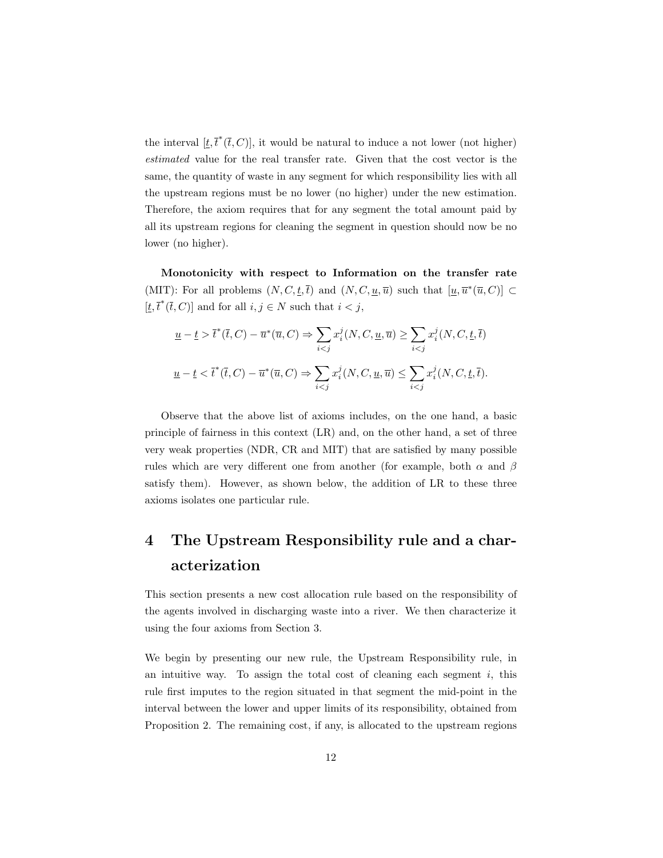the interval  $[t, \bar{t}^*(\bar{t}, C)]$ , it would be natural to induce a not lower (not higher) estimated value for the real transfer rate. Given that the cost vector is the same, the quantity of waste in any segment for which responsibility lies with all the upstream regions must be no lower (no higher) under the new estimation. Therefore, the axiom requires that for any segment the total amount paid by all its upstream regions for cleaning the segment in question should now be no lower (no higher).

Monotonicity with respect to Information on the transfer rate (MIT): For all problems  $(N, C, \underline{t}, \overline{t})$  and  $(N, C, \underline{u}, \overline{u})$  such that  $[\underline{u}, \overline{u}^*(\overline{u}, C)] \subset$  $[t, \overline{t}^*(\overline{t}, C)]$  and for all  $i, j \in N$  such that  $i < j$ ,

$$
\underline{u} - \underline{t} > \overline{t}^*(\overline{t}, C) - \overline{u}^*(\overline{u}, C) \Rightarrow \sum_{i < j} x_i^j(N, C, \underline{u}, \overline{u}) \ge \sum_{i < j} x_i^j(N, C, \underline{t}, \overline{t})
$$
\n
$$
\underline{u} - \underline{t} < \overline{t}^*(\overline{t}, C) - \overline{u}^*(\overline{u}, C) \Rightarrow \sum_{i < j} x_i^j(N, C, \underline{u}, \overline{u}) \le \sum_{i < j} x_i^j(N, C, \underline{t}, \overline{t}).
$$

Observe that the above list of axioms includes, on the one hand, a basic principle of fairness in this context (LR) and, on the other hand, a set of three very weak properties (NDR, CR and MIT) that are satisfied by many possible rules which are very different one from another (for example, both  $\alpha$  and  $\beta$ satisfy them). However, as shown below, the addition of LR to these three axioms isolates one particular rule.

### 4 The Upstream Responsibility rule and a characterization

This section presents a new cost allocation rule based on the responsibility of the agents involved in discharging waste into a river. We then characterize it using the four axioms from Section 3.

We begin by presenting our new rule, the Upstream Responsibility rule, in an intuitive way. To assign the total cost of cleaning each segment  $i$ , this rule first imputes to the region situated in that segment the mid-point in the interval between the lower and upper limits of its responsibility, obtained from Proposition 2. The remaining cost, if any, is allocated to the upstream regions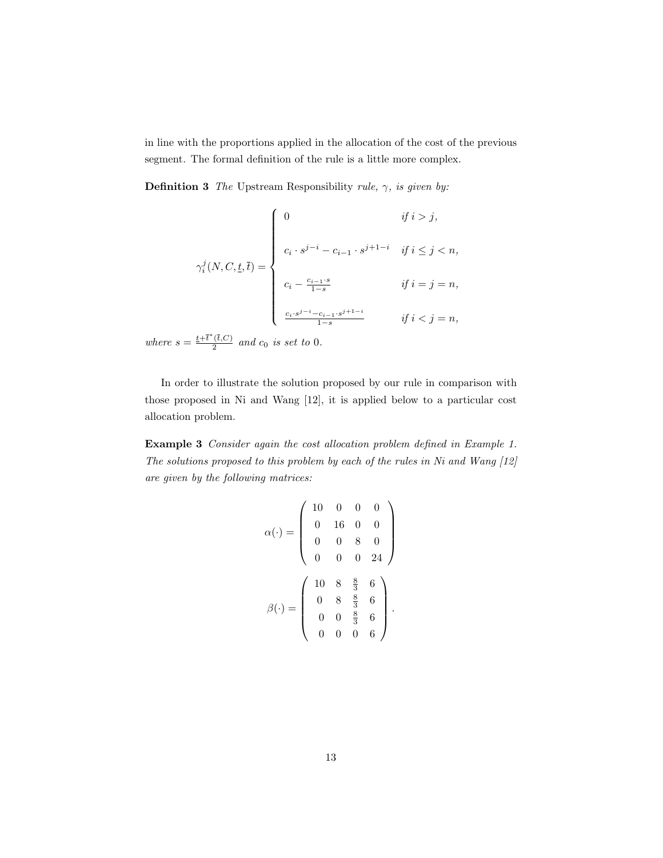in line with the proportions applied in the allocation of the cost of the previous segment. The formal definition of the rule is a little more complex.

**Definition 3** The Upstream Responsibility rule,  $\gamma$ , is given by:

$$
\gamma_i^j(N, C, \underline{t}, \overline{t}) = \left\{ \begin{array}{ll} 0 & \text{if } i > j, \\ & \\ c_i \cdot s^{j-i} - c_{i-1} \cdot s^{j+1-i} & \text{if } i \leq j < n, \\ & \\ c_i - \frac{c_{i-1} \cdot s}{1-s} & \text{if } i = j = n, \\ & \\ & \\ \frac{c_i \cdot s^{j-i} - c_{i-1} \cdot s^{j+1-i}}{1-s} & \text{if } i < j = n, \end{array} \right.
$$

where  $s = \frac{t + \overline{t}^*(\overline{t},C)}{2}$  $rac{(t,C)}{2}$  and  $c_0$  is set to 0.

In order to illustrate the solution proposed by our rule in comparison with those proposed in Ni and Wang [12], it is applied below to a particular cost allocation problem.

Example 3 Consider again the cost allocation problem defined in Example 1. The solutions proposed to this problem by each of the rules in Ni and Wang [12] are given by the following matrices:

$$
\alpha(\cdot) = \left(\begin{array}{cccc} 10 & 0 & 0 & 0 \\ 0 & 16 & 0 & 0 \\ 0 & 0 & 8 & 0 \\ 0 & 0 & 0 & 24 \end{array}\right)
$$

$$
\beta(\cdot) = \left(\begin{array}{cccc} 10 & 8 & \frac{8}{3} & 6 \\ 0 & 8 & \frac{8}{3} & 6 \\ 0 & 0 & \frac{8}{3} & 6 \\ 0 & 0 & 0 & 6 \end{array}\right).
$$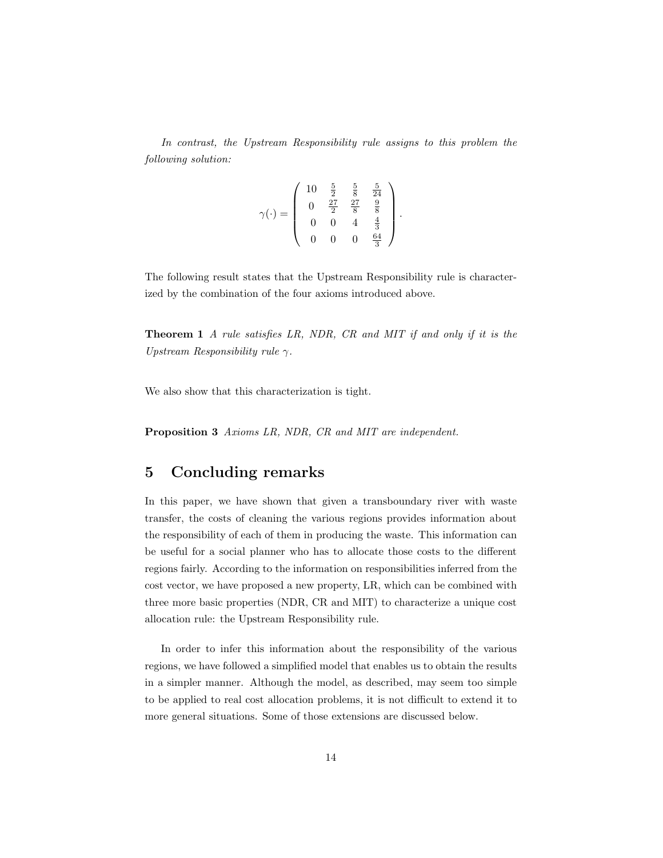In contrast, the Upstream Responsibility rule assigns to this problem the following solution:

$$
\gamma(\cdot) = \left(\begin{array}{cccc} 10 & \frac{5}{2} & \frac{5}{8} & \frac{5}{24} \\ 0 & \frac{27}{2} & \frac{27}{8} & \frac{9}{8} \\ 0 & 0 & 4 & \frac{4}{3} \\ 0 & 0 & 0 & \frac{64}{3} \end{array}\right)
$$

.

The following result states that the Upstream Responsibility rule is characterized by the combination of the four axioms introduced above.

Theorem 1 A rule satisfies LR, NDR, CR and MIT if and only if it is the Upstream Responsibility rule  $\gamma$ .

We also show that this characterization is tight.

Proposition 3 Axioms LR, NDR, CR and MIT are independent.

### 5 Concluding remarks

In this paper, we have shown that given a transboundary river with waste transfer, the costs of cleaning the various regions provides information about the responsibility of each of them in producing the waste. This information can be useful for a social planner who has to allocate those costs to the different regions fairly. According to the information on responsibilities inferred from the cost vector, we have proposed a new property, LR, which can be combined with three more basic properties (NDR, CR and MIT) to characterize a unique cost allocation rule: the Upstream Responsibility rule.

In order to infer this information about the responsibility of the various regions, we have followed a simplified model that enables us to obtain the results in a simpler manner. Although the model, as described, may seem too simple to be applied to real cost allocation problems, it is not difficult to extend it to more general situations. Some of those extensions are discussed below.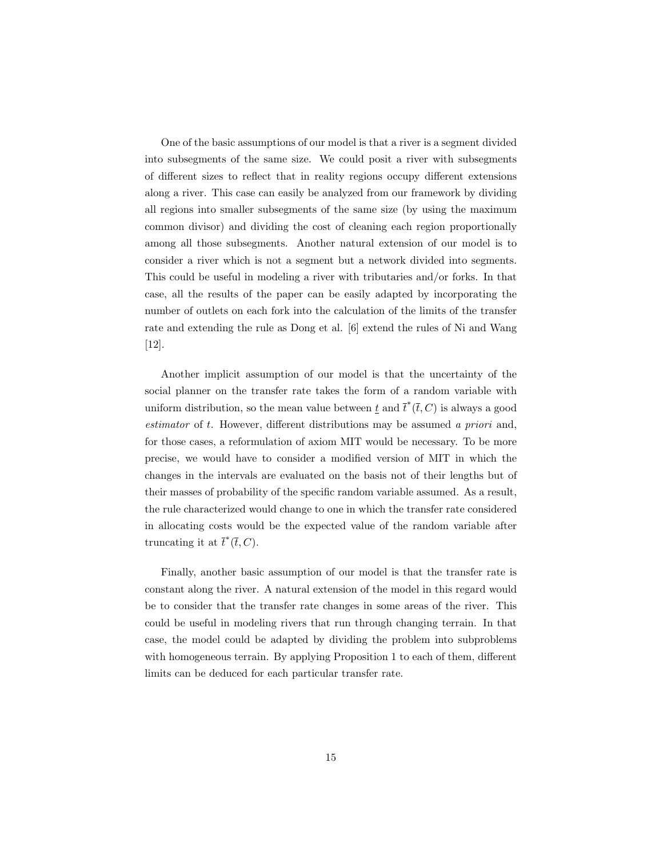One of the basic assumptions of our model is that a river is a segment divided into subsegments of the same size. We could posit a river with subsegments of different sizes to reflect that in reality regions occupy different extensions along a river. This case can easily be analyzed from our framework by dividing all regions into smaller subsegments of the same size (by using the maximum common divisor) and dividing the cost of cleaning each region proportionally among all those subsegments. Another natural extension of our model is to consider a river which is not a segment but a network divided into segments. This could be useful in modeling a river with tributaries and/or forks. In that case, all the results of the paper can be easily adapted by incorporating the number of outlets on each fork into the calculation of the limits of the transfer rate and extending the rule as Dong et al. [6] extend the rules of Ni and Wang [12].

Another implicit assumption of our model is that the uncertainty of the social planner on the transfer rate takes the form of a random variable with uniform distribution, so the mean value between  $\underline{t}$  and  $\overline{t}^*(\overline{t}, C)$  is always a good estimator of  $t$ . However, different distributions may be assumed a priori and, for those cases, a reformulation of axiom MIT would be necessary. To be more precise, we would have to consider a modified version of MIT in which the changes in the intervals are evaluated on the basis not of their lengths but of their masses of probability of the specific random variable assumed. As a result, the rule characterized would change to one in which the transfer rate considered in allocating costs would be the expected value of the random variable after truncating it at  $\bar{t}^*(\bar{t}, C)$ .

Finally, another basic assumption of our model is that the transfer rate is constant along the river. A natural extension of the model in this regard would be to consider that the transfer rate changes in some areas of the river. This could be useful in modeling rivers that run through changing terrain. In that case, the model could be adapted by dividing the problem into subproblems with homogeneous terrain. By applying Proposition 1 to each of them, different limits can be deduced for each particular transfer rate.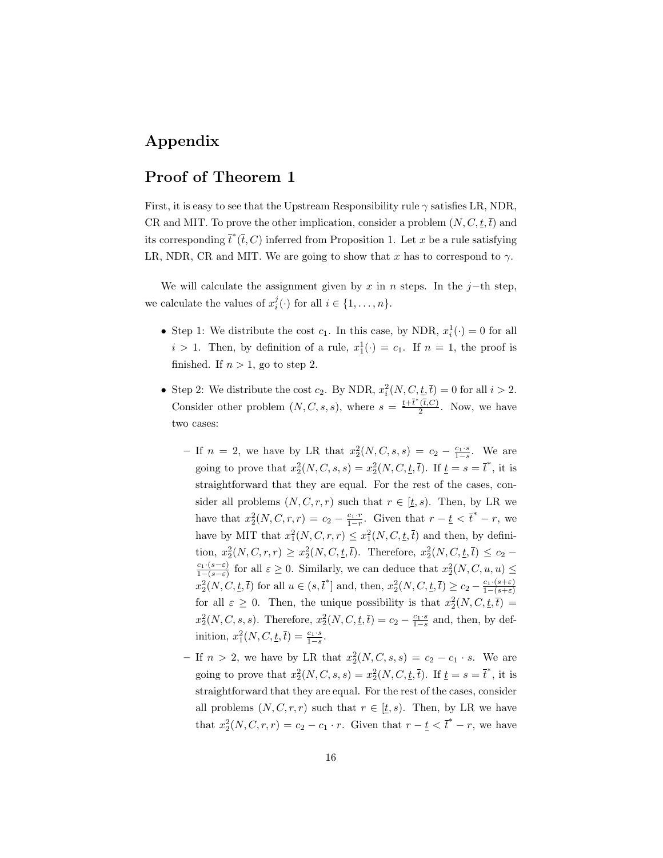### Appendix

### Proof of Theorem 1

First, it is easy to see that the Upstream Responsibility rule  $\gamma$  satisfies LR, NDR, CR and MIT. To prove the other implication, consider a problem  $(N, C, \underline{t}, \overline{t})$  and its corresponding  $\bar{t}^*(\bar{t}, C)$  inferred from Proposition 1. Let x be a rule satisfying LR, NDR, CR and MIT. We are going to show that  $x$  has to correspond to  $\gamma$ .

We will calculate the assignment given by  $x$  in  $n$  steps. In the  $j$ −th step, we calculate the values of  $x_i^j(\cdot)$  for all  $i \in \{1, \ldots, n\}$ .

- Step 1: We distribute the cost  $c_1$ . In this case, by NDR,  $x_i^1(\cdot) = 0$  for all  $i > 1$ . Then, by definition of a rule,  $x_1^1(\cdot) = c_1$ . If  $n = 1$ , the proof is finished. If  $n > 1$ , go to step 2.
- Step 2: We distribute the cost  $c_2$ . By NDR,  $x_i^2(N, C, \underline{t}, \overline{t}) = 0$  for all  $i > 2$ . Consider other problem  $(N, C, s, s)$ , where  $s = \frac{t + \bar{t}^*(\bar{t}, C)}{2}$  $\frac{(t,C)}{2}$ . Now, we have two cases:
	- If  $n = 2$ , we have by LR that  $x_2^2(N, C, s, s) = c_2 \frac{c_1 \cdot s}{1 s}$ . We are going to prove that  $x_2^2(N, C, s, s) = x_2^2(N, C, \underline{t}, \overline{t})$ . If  $\underline{t} = s = \overline{t}^*$ , it is straightforward that they are equal. For the rest of the cases, consider all problems  $(N, C, r, r)$  such that  $r \in [\underline{t}, s)$ . Then, by LR we have that  $x_2^2(N, C, r, r) = c_2 - \frac{c_1 \cdot r}{1 - r}$ . Given that  $r - \underline{t} < \overline{t}^* - r$ , we have by MIT that  $x_1^2(N, C, r, r) \leq x_1^2(N, C, \underline{t}, \overline{t})$  and then, by definition,  $x_2^2(N, C, r, r) \geq x_2^2(N, C, \underline{t}, \overline{t})$ . Therefore,  $x_2^2(N, C, \underline{t}, \overline{t}) \leq c_2$  $\frac{c_1 \cdot (s-\varepsilon)}{1-(s-\varepsilon)}$  for all  $\varepsilon \geq 0$ . Similarly, we can deduce that  $x_2^2(N, C, u, u) \leq$  $x_2^2(N, C, \underline{t}, \overline{t})$  for all  $u \in (s, \overline{t}^*]$  and, then,  $x_2^2(N, C, \underline{t}, \overline{t}) \ge c_2 - \frac{c_1 \cdot (s + \varepsilon)}{1 - (s + \varepsilon)}$ for all  $\varepsilon \geq 0$ . Then, the unique possibility is that  $x_2^2(N, C, \underline{t}, \overline{t}) =$  $x_2^2(N, C, s, s)$ . Therefore,  $x_2^2(N, C, \underline{t}, \overline{t}) = c_2 - \frac{c_1 \cdot s}{1 - s}$  and, then, by definition,  $x_1^2(N, C, \underline{t}, \overline{t}) = \frac{c_1 \cdot s}{1 - s}$ .
	- If  $n > 2$ , we have by LR that  $x_2^2(N, C, s, s) = c_2 c_1 \cdot s$ . We are going to prove that  $x_2^2(N, C, s, s) = x_2^2(N, C, \underline{t}, \overline{t})$ . If  $\underline{t} = s = \overline{t}^*$ , it is straightforward that they are equal. For the rest of the cases, consider all problems  $(N, C, r, r)$  such that  $r \in [t, s)$ . Then, by LR we have that  $x_2^2(N, C, r, r) = c_2 - c_1 \cdot r$ . Given that  $r - \underline{t} < \overline{t}^* - r$ , we have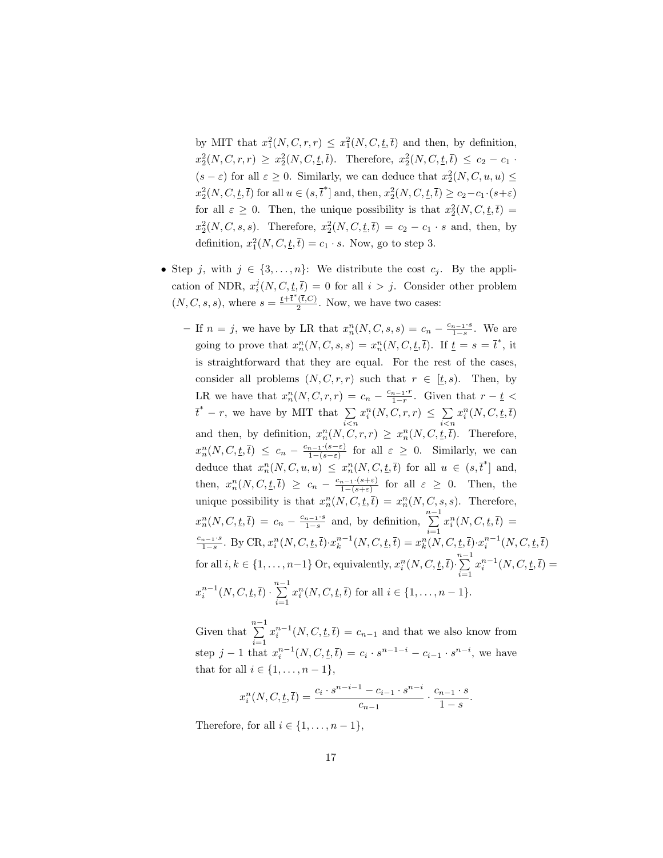by MIT that  $x_1^2(N, C, r, r) \leq x_1^2(N, C, \underline{t}, \overline{t})$  and then, by definition,  $x_2^2(N, C, r, r) \geq x_2^2(N, C, t, \bar{t}).$  Therefore,  $x_2^2(N, C, t, \bar{t}) \leq c_2 - c_1$ .  $(s - \varepsilon)$  for all  $\varepsilon \geq 0$ . Similarly, we can deduce that  $x_2^2(N, C, u, u) \leq$  $x_2^2(N, C, \underline{t}, \overline{t})$  for all  $u \in (s, \overline{t}^*]$  and, then,  $x_2^2(N, C, \underline{t}, \overline{t}) \ge c_2 - c_1 \cdot (s + \varepsilon)$ for all  $\varepsilon \geq 0$ . Then, the unique possibility is that  $x_2^2(N, C, \underline{t}, \overline{t}) =$  $x_2^2(N, C, s, s)$ . Therefore,  $x_2^2(N, C, \underline{t}, \overline{t}) = c_2 - c_1 \cdot s$  and, then, by definition,  $x_1^2(N, C, \underline{t}, \overline{t}) = c_1 \cdot s$ . Now, go to step 3.

- Step *j*, with  $j \in \{3, \ldots, n\}$ : We distribute the cost  $c_j$ . By the application of NDR,  $x_i^j(N, C, \underline{t}, \overline{t}) = 0$  for all  $i > j$ . Consider other problem  $(N, C, s, s)$ , where  $s = \frac{t + \overline{t}^*(\overline{t}, C)}{2}$  $\frac{(t, C)}{2}$ . Now, we have two cases:
	- If  $n = j$ , we have by LR that  $x_n^n(N, C, s, s) = c_n \frac{c_{n-1} \cdot s}{1 s}$ . We are going to prove that  $x_n^n(N, C, s, s) = x_n^n(N, C, \underline{t}, \overline{t})$ . If  $\underline{t} = s = \overline{t}^*$ , it is straightforward that they are equal. For the rest of the cases, consider all problems  $(N, C, r, r)$  such that  $r \in [\underline{t}, s)$ . Then, by LR we have that  $x_n^n(N, C, r, r) = c_n - \frac{c_{n-1} \cdot r}{1-r}$ . Given that  $r - \underline{t}$  $\bar{t}^* - r$ , we have by MIT that  $\sum$  $i$  $\lt$  $n$  $x_i^n(N, C, r, r) \leq \sum$  $i$  $\lt$  $n$  $x_i^n(N, C, \underline{t}, \overline{t})$ and then, by definition,  $x_n^n(N, C, r, r) \ge x_n^n(N, C, \underline{t}, \overline{t})$ . Therefore,  $x_n^n(N, C, \underline{t}, \overline{t}) \leq c_n - \frac{c_{n-1} \cdot (s-\varepsilon)}{1-(s-\varepsilon)}$  for all  $\varepsilon \geq 0$ . Similarly, we can deduce that  $x_n^n(N, C, u, u) \leq x_n^n(N, C, \underline{t}, \overline{t})$  for all  $u \in (s, \overline{t}^*)$  and,  $_n(1, \ldots, u, u) \geq u_n$ then,  $x_n^n(N, C, \underline{t}, \overline{t}) \geq c_n - \frac{c_{n-1} \cdot (s+\varepsilon)}{1-(s+\varepsilon)}$  for all  $\varepsilon \geq 0$ . Then, the unique possibility is that  $x_n^n(N, C, \underline{t}, \overline{t}) = x_n^n(N, C, s, s)$ . Therefore,  $x_n^n(N, C, \underline{t}, \overline{t}) = c_n - \frac{c_{n-1} \cdot s}{1-s}$  and, by definition,  $\sum_{n=1}^{n-1} x_i^n(N, C, \underline{t}, \overline{t}) =$  $\frac{c_{n-1} \cdot s}{1-s}$ . By CR,  $x_i^n(N, C, \underline{t}, \overline{t}) \cdot x_k^{n-1}(N, C, \underline{t}, \overline{t}) = x_k^n(N, C, \underline{t}, \overline{t}) \cdot x_i^{n-1}(N, C, \underline{t}, \overline{t})$ for all  $i, k \in \{1, ..., n-1\}$  Or, equivalently,  $x_i^n(N, C, \underline{t}, \overline{t}) \cdot \sum_{i=1}^{n-1}$  $i=1$  $x_i^{n-1}(N, C, \underline{t}, \overline{t}) =$  $x_i^{n-1}(N, C, \underline{t}, \overline{t}) \cdot \sum_{i=1}^{n-1}$  $\frac{i=1}{i}$  $x_i^n(N, C, \underline{t}, \overline{t})$  for all  $i \in \{1, \ldots, n-1\}$ .

Given that  $\sum_{i=1}^{n-1} x_i^{n-1}(N, C, \underline{t}, \overline{t}) = c_{n-1}$  and that we also know from  $i=1$ step  $j-1$  that  $x_i^{n-1}(N, C, \underline{t}, \overline{t}) = c_i \cdot s^{n-1-i} - c_{i-1} \cdot s^{n-i}$ , we have that for all  $i \in \{1, \ldots, n-1\},\$ 

$$
x_i^n(N, C, \underline{t}, \overline{t}) = \frac{c_i \cdot s^{n-i-1} - c_{i-1} \cdot s^{n-i}}{c_{n-1}} \cdot \frac{c_{n-1} \cdot s}{1 - s}.
$$

Therefore, for all  $i \in \{1, \ldots, n-1\}$ ,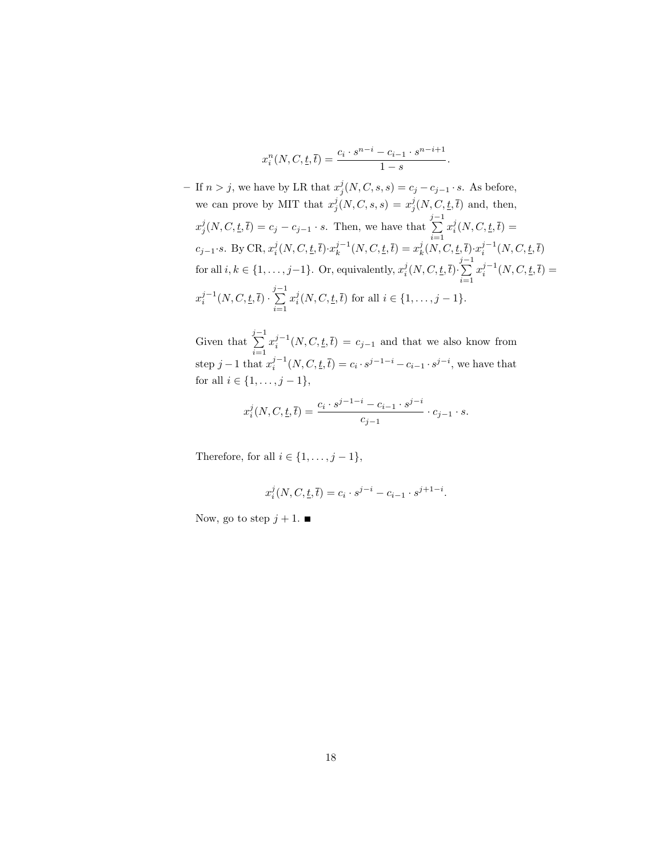$$
x_i^n(N, C, \underline{t}, \overline{t}) = \frac{c_i \cdot s^{n-i} - c_{i-1} \cdot s^{n-i+1}}{1 - s}.
$$

- If  $n > j$ , we have by LR that  $x_j^j(N, C, s, s) = c_j - c_{j-1} \cdot s$ . As before, we can prove by MIT that  $x_j^j(N, C, s, s) = x_j^j(N, C, \underline{t}, \overline{t})$  and, then,  $x_j^j(N, C, \underline{t}, \overline{t}) = c_j - c_{j-1} \cdot s$ . Then, we have that  $\sum_{j=1}^{j-1}$  $\frac{i=1}{i}$  $x_i^j(N, C, \underline{t}, \overline{t}) =$  $c_{j-1} \cdot s$ . By CR,  $x_i^j(N, C, \underline{t}, \overline{t}) \cdot x_k^{j-1}(N, C, \underline{t}, \overline{t}) = x_k^j(N, C, \underline{t}, \overline{t}) \cdot x_i^{j-1}(N, C, \underline{t}, \overline{t})$ for all  $i, k \in \{1, \ldots, j-1\}$ . Or, equivalently,  $x_i^j(N, C, \underline{t}, \overline{t}) \cdot \sum_{i=1}^{j-1}$  $i=1$  $x_i^{j-1}(N, C, \underline{t}, \overline{t}) =$  $x_i^{j-1}(N, C, \underline{t}, \overline{t}) \cdot \sum_{i=1}^{j-1}$  $\frac{i=1}{i}$  $x_i^j(N, C, \underline{t}, \overline{t})$  for all  $i \in \{1, \ldots, j-1\}$ .

Given that  $\sum_{i=1}^{j-1} x_i^{j-1}(N, C, \underline{t}, \overline{t}) = c_{j-1}$  and that we also know from  $i=1$ step  $j-1$  that  $x_i^{j-1}(N, C, \underline{t}, \overline{t}) = c_i \cdot s^{j-1-i} - c_{i-1} \cdot s^{j-i}$ , we have that for all  $i \in \{1, ..., j - 1\}$ ,

$$
x_i^j(N, C, \underline{t}, \overline{t}) = \frac{c_i \cdot s^{j-1-i} - c_{i-1} \cdot s^{j-i}}{c_{j-1}} \cdot c_{j-1} \cdot s.
$$

Therefore, for all  $i \in \{1, \ldots, j-1\}$ ,

$$
x_i^j(N, C, \underline{t}, \overline{t}) = c_i \cdot s^{j-i} - c_{i-1} \cdot s^{j+1-i}.
$$

Now, go to step  $j + 1$ .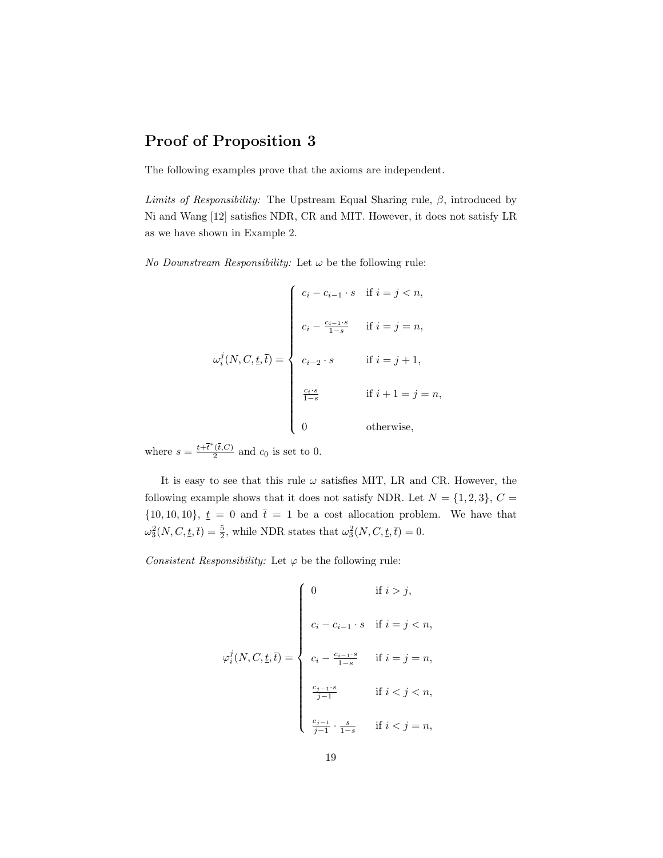### Proof of Proposition 3

The following examples prove that the axioms are independent.

Limits of Responsibility: The Upstream Equal Sharing rule,  $\beta$ , introduced by Ni and Wang [12] satisfies NDR, CR and MIT. However, it does not satisfy LR as we have shown in Example 2.

No Downstream Responsibility: Let  $\omega$  be the following rule:

$$
\omega_i^j(N, C, \underline{t}, \overline{t}) = \begin{cases}\nc_i - c_{i-1} \cdot s & \text{if } i = j < n, \\
c_i - \frac{c_{i-1} \cdot s}{1-s} & \text{if } i = j = n, \\
c_{i-2} \cdot s & \text{if } i = j + 1, \\
\frac{c_i \cdot s}{1-s} & \text{if } i + 1 = j = n, \\
0 & \text{otherwise,}\n\end{cases}
$$

where  $s = \frac{t + \overline{t}^*(\overline{t},C)}{2}$  $\frac{(t,C)}{2}$  and  $c_0$  is set to 0.

It is easy to see that this rule  $\omega$  satisfies MIT, LR and CR. However, the following example shows that it does not satisfy NDR. Let  $N = \{1, 2, 3\}, C =$  $\{10, 10, 10\}$ ,  $\underline{t} = 0$  and  $\overline{t} = 1$  be a cost allocation problem. We have that  $\omega_3^2(N, C, \underline{t}, \overline{t}) = \frac{5}{2}$ , while NDR states that  $\omega_3^2(N, C, \underline{t}, \overline{t}) = 0$ .

Consistent Responsibility: Let  $\varphi$  be the following rule:

$$
\varphi_i^j(N, C, \underline{t}, \overline{t}) = \left\{ \begin{array}{ll} 0 & \text{if } i > j, \\ & \\ c_i - c_{i-1} \cdot s & \text{if } i = j < n, \\ & \\ c_i - \frac{c_{i-1} \cdot s}{1-s} & \text{if } i = j = n, \\ & \\ \frac{c_{j-1} \cdot s}{j-1} & \text{if } i < j < n, \\ & \\ \frac{c_{j-1}}{j-1} \cdot \frac{s}{1-s} & \text{if } i < j = n, \end{array} \right.
$$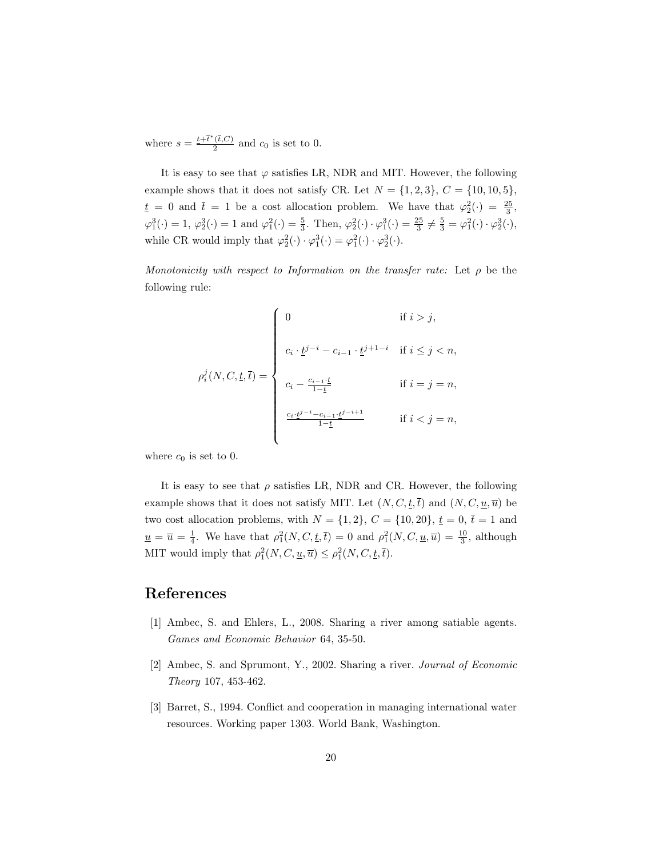where  $s = \frac{t + \overline{t}^*(\overline{t},C)}{2}$  $\frac{(t,C)}{2}$  and  $c_0$  is set to 0.

It is easy to see that  $\varphi$  satisfies LR, NDR and MIT. However, the following example shows that it does not satisfy CR. Let  $N = \{1, 2, 3\}, C = \{10, 10, 5\},\$  $\underline{t} = 0$  and  $\overline{t} = 1$  be a cost allocation problem. We have that  $\varphi_2^2(\cdot) = \frac{25}{3}$ ,  $\varphi_1^3(\cdot) = 1$ ,  $\varphi_2^3(\cdot) = 1$  and  $\varphi_1^2(\cdot) = \frac{5}{3}$ . Then,  $\varphi_2^2(\cdot) \cdot \varphi_1^3(\cdot) = \frac{25}{3} \neq \frac{5}{3} = \varphi_1^2(\cdot) \cdot \varphi_2^3(\cdot)$ , while CR would imply that  $\varphi_2^2(\cdot) \cdot \varphi_1^3(\cdot) = \varphi_1^2(\cdot) \cdot \varphi_2^3(\cdot)$ .

Monotonicity with respect to Information on the transfer rate: Let  $\rho$  be the following rule:

$$
\rho_i^j(N, C, \underline{t}, \overline{t}) = \begin{cases}\n0 & \text{if } i > j, \\
c_i \cdot \underline{t}^{j-i} - c_{i-1} \cdot \underline{t}^{j+1-i} & \text{if } i \le j < n, \\
c_i - \frac{c_{i-1} \cdot \underline{t}}{1-\underline{t}} & \text{if } i = j = n, \\
\frac{c_i \cdot \underline{t}^{j-i} - c_{i-1} \cdot \underline{t}^{j-i+1}}{1-\underline{t}} & \text{if } i < j = n,\n\end{cases}
$$

where  $c_0$  is set to 0.

It is easy to see that  $\rho$  satisfies LR, NDR and CR. However, the following example shows that it does not satisfy MIT. Let  $(N, C, \underline{t}, \overline{t})$  and  $(N, C, \underline{u}, \overline{u})$  be two cost allocation problems, with  $N = \{1, 2\}$ ,  $C = \{10, 20\}$ ,  $\underline{t} = 0$ ,  $\overline{t} = 1$  and  $\underline{u} = \overline{u} = \frac{1}{4}$ . We have that  $\rho_1^2(N, C, \underline{t}, \overline{t}) = 0$  and  $\rho_1^2(N, C, \underline{u}, \overline{u}) = \frac{10}{3}$ , although MIT would imply that  $\rho_1^2(N, C, \underline{u}, \overline{u}) \leq \rho_1^2(N, C, \underline{t}, \overline{t}).$ 

#### References

- [1] Ambec, S. and Ehlers, L., 2008. Sharing a river among satiable agents. Games and Economic Behavior 64, 35-50.
- [2] Ambec, S. and Sprumont, Y., 2002. Sharing a river. Journal of Economic Theory 107, 453-462.
- [3] Barret, S., 1994. Conflict and cooperation in managing international water resources. Working paper 1303. World Bank, Washington.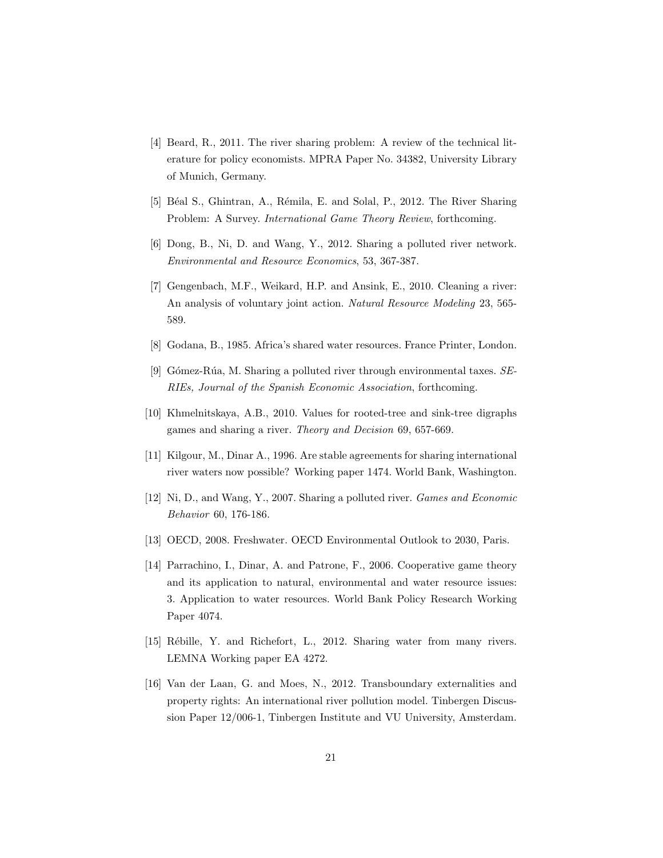- [4] Beard, R., 2011. The river sharing problem: A review of the technical literature for policy economists. MPRA Paper No. 34382, University Library of Munich, Germany.
- [5] Béal S., Ghintran, A., Rémila, E. and Solal, P., 2012. The River Sharing Problem: A Survey. International Game Theory Review, forthcoming.
- [6] Dong, B., Ni, D. and Wang, Y., 2012. Sharing a polluted river network. Environmental and Resource Economics, 53, 367-387.
- [7] Gengenbach, M.F., Weikard, H.P. and Ansink, E., 2010. Cleaning a river: An analysis of voluntary joint action. Natural Resource Modeling 23, 565-589.
- [8] Godana, B., 1985. Africa's shared water resources. France Printer, London.
- [9] Gómez-Rúa, M. Sharing a polluted river through environmental taxes.  $SE$ -RIEs, Journal of the Spanish Economic Association, forthcoming.
- [10] Khmelnitskaya, A.B., 2010. Values for rooted-tree and sink-tree digraphs games and sharing a river. Theory and Decision 69, 657-669.
- [11] Kilgour, M., Dinar A., 1996. Are stable agreements for sharing international river waters now possible? Working paper 1474. World Bank, Washington.
- [12] Ni, D., and Wang, Y., 2007. Sharing a polluted river. Games and Economic Behavior 60, 176-186.
- [13] OECD, 2008. Freshwater. OECD Environmental Outlook to 2030, Paris.
- [14] Parrachino, I., Dinar, A. and Patrone, F., 2006. Cooperative game theory and its application to natural, environmental and water resource issues: 3. Application to water resources. World Bank Policy Research Working Paper 4074.
- [15] Rébille, Y. and Richefort, L., 2012. Sharing water from many rivers. LEMNA Working paper EA 4272.
- [16] Van der Laan, G. and Moes, N., 2012. Transboundary externalities and property rights: An international river pollution model. Tinbergen Discussion Paper 12/006-1, Tinbergen Institute and VU University, Amsterdam.